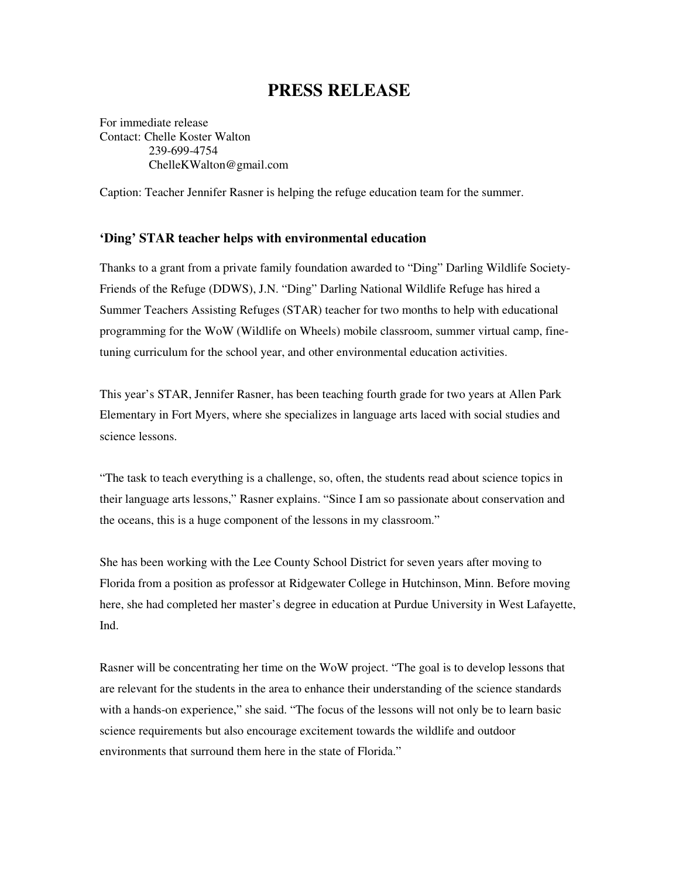## **PRESS RELEASE**

For immediate release Contact: Chelle Koster Walton 239-699-4754 ChelleKWalton@gmail.com

Caption: Teacher Jennifer Rasner is helping the refuge education team for the summer.

## **'Ding' STAR teacher helps with environmental education**

Thanks to a grant from a private family foundation awarded to "Ding" Darling Wildlife Society-Friends of the Refuge (DDWS), J.N. "Ding" Darling National Wildlife Refuge has hired a Summer Teachers Assisting Refuges (STAR) teacher for two months to help with educational programming for the WoW (Wildlife on Wheels) mobile classroom, summer virtual camp, finetuning curriculum for the school year, and other environmental education activities.

This year's STAR, Jennifer Rasner, has been teaching fourth grade for two years at Allen Park Elementary in Fort Myers, where she specializes in language arts laced with social studies and science lessons.

"The task to teach everything is a challenge, so, often, the students read about science topics in their language arts lessons," Rasner explains. "Since I am so passionate about conservation and the oceans, this is a huge component of the lessons in my classroom."

She has been working with the Lee County School District for seven years after moving to Florida from a position as professor at Ridgewater College in Hutchinson, Minn. Before moving here, she had completed her master's degree in education at Purdue University in West Lafayette, Ind.

Rasner will be concentrating her time on the WoW project. "The goal is to develop lessons that are relevant for the students in the area to enhance their understanding of the science standards with a hands-on experience," she said. "The focus of the lessons will not only be to learn basic science requirements but also encourage excitement towards the wildlife and outdoor environments that surround them here in the state of Florida."